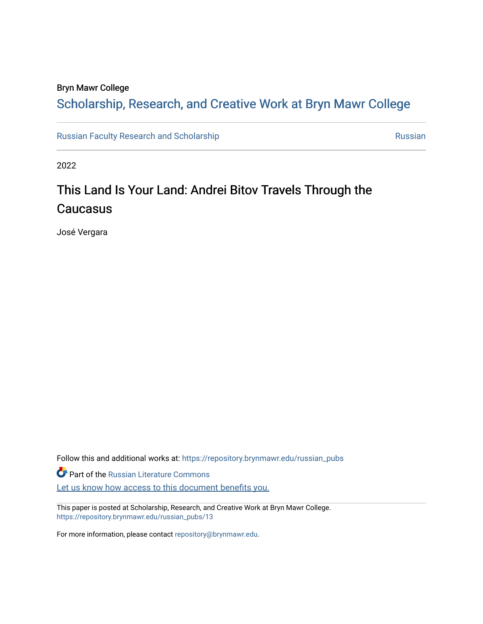# Bryn Mawr College

# Scholarship, Research, and Creative Work at Bryn Mawr College

[Russian Faculty Research and Scholarship](https://repository.brynmawr.edu/russian_pubs) [Russian](https://repository.brynmawr.edu/russian) Russian Russian

2022

# This Land Is Your Land: Andrei Bitov Travels Through the **Caucasus**

José Vergara

Follow this and additional works at: [https://repository.brynmawr.edu/russian\\_pubs](https://repository.brynmawr.edu/russian_pubs?utm_source=repository.brynmawr.edu%2Frussian_pubs%2F13&utm_medium=PDF&utm_campaign=PDFCoverPages)  **Part of the Russian Literature Commons** Let us know how access to this document benefits you.

This paper is posted at Scholarship, Research, and Creative Work at Bryn Mawr College. [https://repository.brynmawr.edu/russian\\_pubs/13](https://repository.brynmawr.edu/russian_pubs/13)

For more information, please contact [repository@brynmawr.edu.](mailto:repository@brynmawr.edu)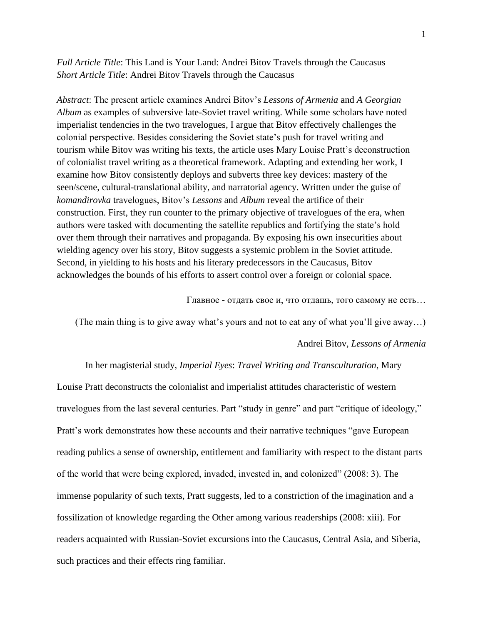*Full Article Title*: This Land is Your Land: Andrei Bitov Travels through the Caucasus *Short Article Title*: Andrei Bitov Travels through the Caucasus

*Abstract*: The present article examines Andrei Bitov's *Lessons of Armenia* and *A Georgian Album* as examples of subversive late-Soviet travel writing. While some scholars have noted imperialist tendencies in the two travelogues, I argue that Bitov effectively challenges the colonial perspective. Besides considering the Soviet state's push for travel writing and tourism while Bitov was writing his texts, the article uses Mary Louise Pratt's deconstruction of colonialist travel writing as a theoretical framework. Adapting and extending her work, I examine how Bitov consistently deploys and subverts three key devices: mastery of the seen/scene, cultural-translational ability, and narratorial agency. Written under the guise of *komandirovka* travelogues, Bitov's *Lessons* and *Album* reveal the artifice of their construction. First, they run counter to the primary objective of travelogues of the era, when authors were tasked with documenting the satellite republics and fortifying the state's hold over them through their narratives and propaganda. By exposing his own insecurities about wielding agency over his story, Bitov suggests a systemic problem in the Soviet attitude. Second, in yielding to his hosts and his literary predecessors in the Caucasus, Bitov acknowledges the bounds of his efforts to assert control over a foreign or colonial space.

Главное - отдать свое и, что отдашь, того самому не есть…

(The main thing is to give away what's yours and not to eat any of what you'll give away…)

Andrei Bitov, *Lessons of Armenia*

In her magisterial study, *Imperial Eyes*: *Travel Writing and Transculturation*, Mary Louise Pratt deconstructs the colonialist and imperialist attitudes characteristic of western travelogues from the last several centuries. Part "study in genre" and part "critique of ideology," Pratt's work demonstrates how these accounts and their narrative techniques "gave European reading publics a sense of ownership, entitlement and familiarity with respect to the distant parts of the world that were being explored, invaded, invested in, and colonized" (2008: 3). The immense popularity of such texts, Pratt suggests, led to a constriction of the imagination and a fossilization of knowledge regarding the Other among various readerships (2008: xiii). For readers acquainted with Russian-Soviet excursions into the Caucasus, Central Asia, and Siberia, such practices and their effects ring familiar.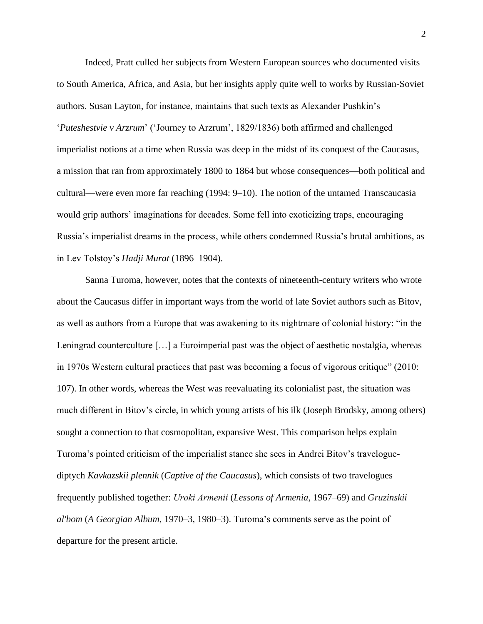Indeed, Pratt culled her subjects from Western European sources who documented visits to South America, Africa, and Asia, but her insights apply quite well to works by Russian-Soviet authors. Susan Layton, for instance, maintains that such texts as Alexander Pushkin's '*Puteshestvie v Arzrum*' ('Journey to Arzrum', 1829/1836) both affirmed and challenged imperialist notions at a time when Russia was deep in the midst of its conquest of the Caucasus, a mission that ran from approximately 1800 to 1864 but whose consequences—both political and cultural—were even more far reaching (1994: 9–10). The notion of the untamed Transcaucasia would grip authors' imaginations for decades. Some fell into exoticizing traps, encouraging Russia's imperialist dreams in the process, while others condemned Russia's brutal ambitions, as in Lev Tolstoy's *Hadji Murat* (1896–1904).

Sanna Turoma, however, notes that the contexts of nineteenth-century writers who wrote about the Caucasus differ in important ways from the world of late Soviet authors such as Bitov, as well as authors from a Europe that was awakening to its nightmare of colonial history: "in the Leningrad counterculture […] a Euroimperial past was the object of aesthetic nostalgia, whereas in 1970s Western cultural practices that past was becoming a focus of vigorous critique" (2010: 107). In other words, whereas the West was reevaluating its colonialist past, the situation was much different in Bitov's circle, in which young artists of his ilk (Joseph Brodsky, among others) sought a connection to that cosmopolitan, expansive West. This comparison helps explain Turoma's pointed criticism of the imperialist stance she sees in Andrei Bitov's traveloguediptych *Kavkazskii plennik* (*Captive of the Caucasus*), which consists of two travelogues frequently published together: *Uroki Аrmenii* (*Lessons of Armenia*, 1967–69) and *Gruzinskii al'bom* (*A Georgian Album*, 1970–3, 1980–3). Turoma's comments serve as the point of departure for the present article.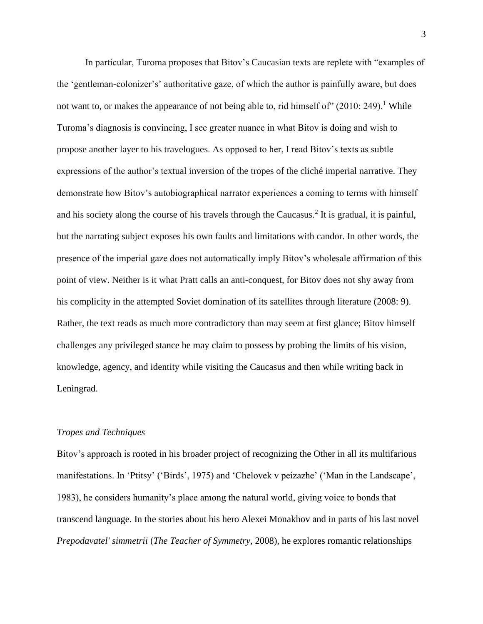In particular, Turoma proposes that Bitov's Caucasian texts are replete with "examples of the 'gentleman-colonizer's' authoritative gaze, of which the author is painfully aware, but does not want to, or makes the appearance of not being able to, rid himself of"  $(2010: 249)$ .<sup>1</sup> While Turoma's diagnosis is convincing, I see greater nuance in what Bitov is doing and wish to propose another layer to his travelogues. As opposed to her, I read Bitov's texts as subtle expressions of the author's textual inversion of the tropes of the cliché imperial narrative. They demonstrate how Bitov's autobiographical narrator experiences a coming to terms with himself and his society along the course of his travels through the Caucasus.<sup>2</sup> It is gradual, it is painful, but the narrating subject exposes his own faults and limitations with candor. In other words, the presence of the imperial gaze does not automatically imply Bitov's wholesale affirmation of this point of view. Neither is it what Pratt calls an anti-conquest, for Bitov does not shy away from his complicity in the attempted Soviet domination of its satellites through literature (2008: 9). Rather, the text reads as much more contradictory than may seem at first glance; Bitov himself challenges any privileged stance he may claim to possess by probing the limits of his vision, knowledge, agency, and identity while visiting the Caucasus and then while writing back in Leningrad.

### *Tropes and Techniques*

Bitov's approach is rooted in his broader project of recognizing the Other in all its multifarious manifestations. In 'Ptitsy' ('Birds', 1975) and 'Chelovek v peizazhe' ('Man in the Landscape', 1983), he considers humanity's place among the natural world, giving voice to bonds that transcend language. In the stories about his hero Alexei Monakhov and in parts of his last novel *Prepodavatel' simmetrii* (*The Teacher of Symmetry*, 2008), he explores romantic relationships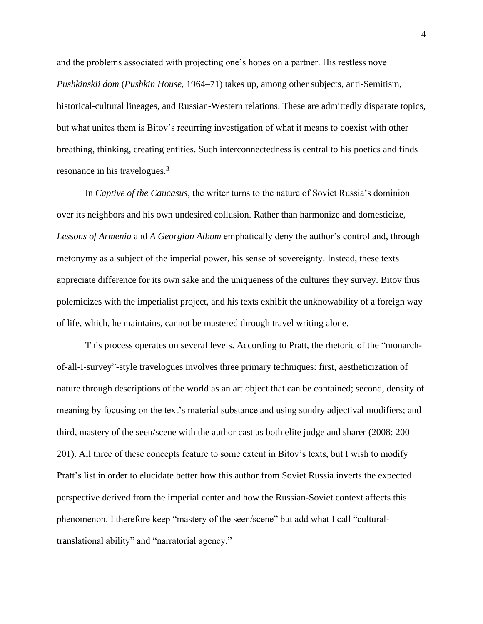and the problems associated with projecting one's hopes on a partner. His restless novel *Pushkinskii dom* (*Pushkin House*, 1964–71) takes up, among other subjects, anti-Semitism, historical-cultural lineages, and Russian-Western relations. These are admittedly disparate topics, but what unites them is Bitov's recurring investigation of what it means to coexist with other breathing, thinking, creating entities. Such interconnectedness is central to his poetics and finds resonance in his travelogues.<sup>3</sup>

In *Captive of the Caucasus*, the writer turns to the nature of Soviet Russia's dominion over its neighbors and his own undesired collusion. Rather than harmonize and domesticize, *Lessons of Armenia* and *A Georgian Album* emphatically deny the author's control and, through metonymy as a subject of the imperial power, his sense of sovereignty. Instead, these texts appreciate difference for its own sake and the uniqueness of the cultures they survey. Bitov thus polemicizes with the imperialist project, and his texts exhibit the unknowability of a foreign way of life, which, he maintains, cannot be mastered through travel writing alone.

This process operates on several levels. According to Pratt, the rhetoric of the "monarchof-all-I-survey"-style travelogues involves three primary techniques: first, aestheticization of nature through descriptions of the world as an art object that can be contained; second, density of meaning by focusing on the text's material substance and using sundry adjectival modifiers; and third, mastery of the seen/scene with the author cast as both elite judge and sharer (2008: 200– 201). All three of these concepts feature to some extent in Bitov's texts, but I wish to modify Pratt's list in order to elucidate better how this author from Soviet Russia inverts the expected perspective derived from the imperial center and how the Russian-Soviet context affects this phenomenon. I therefore keep "mastery of the seen/scene" but add what I call "culturaltranslational ability" and "narratorial agency."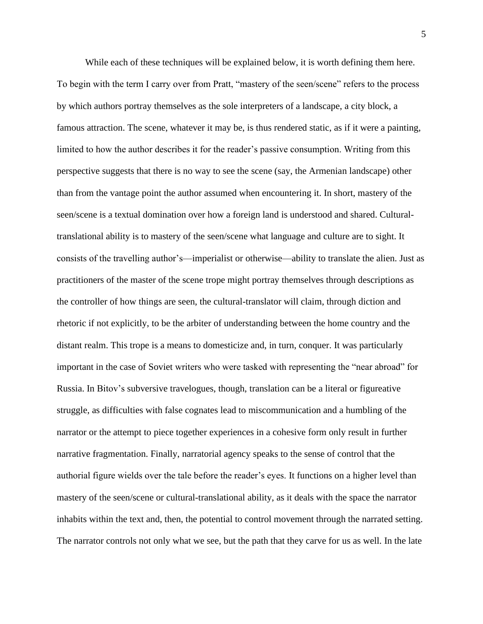While each of these techniques will be explained below, it is worth defining them here. To begin with the term I carry over from Pratt, "mastery of the seen/scene" refers to the process by which authors portray themselves as the sole interpreters of a landscape, a city block, a famous attraction. The scene, whatever it may be, is thus rendered static, as if it were a painting, limited to how the author describes it for the reader's passive consumption. Writing from this perspective suggests that there is no way to see the scene (say, the Armenian landscape) other than from the vantage point the author assumed when encountering it. In short, mastery of the seen/scene is a textual domination over how a foreign land is understood and shared. Culturaltranslational ability is to mastery of the seen/scene what language and culture are to sight. It consists of the travelling author's—imperialist or otherwise—ability to translate the alien. Just as practitioners of the master of the scene trope might portray themselves through descriptions as the controller of how things are seen, the cultural-translator will claim, through diction and rhetoric if not explicitly, to be the arbiter of understanding between the home country and the distant realm. This trope is a means to domesticize and, in turn, conquer. It was particularly important in the case of Soviet writers who were tasked with representing the "near abroad" for Russia. In Bitov's subversive travelogues, though, translation can be a literal or figureative struggle, as difficulties with false cognates lead to miscommunication and a humbling of the narrator or the attempt to piece together experiences in a cohesive form only result in further narrative fragmentation. Finally, narratorial agency speaks to the sense of control that the authorial figure wields over the tale before the reader's eyes. It functions on a higher level than mastery of the seen/scene or cultural-translational ability, as it deals with the space the narrator inhabits within the text and, then, the potential to control movement through the narrated setting. The narrator controls not only what we see, but the path that they carve for us as well. In the late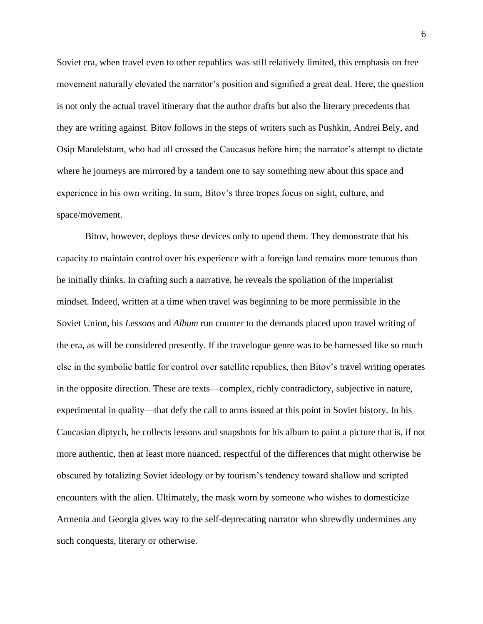Soviet era, when travel even to other republics was still relatively limited, this emphasis on free movement naturally elevated the narrator's position and signified a great deal. Here, the question is not only the actual travel itinerary that the author drafts but also the literary precedents that they are writing against. Bitov follows in the steps of writers such as Pushkin, Andrei Bely, and Osip Mandelstam, who had all crossed the Caucasus before him; the narrator's attempt to dictate where he journeys are mirrored by a tandem one to say something new about this space and experience in his own writing. In sum, Bitov's three tropes focus on sight, culture, and space/movement.

Bitov, however, deploys these devices only to upend them. They demonstrate that his capacity to maintain control over his experience with a foreign land remains more tenuous than he initially thinks. In crafting such a narrative, he reveals the spoliation of the imperialist mindset. Indeed, written at a time when travel was beginning to be more permissible in the Soviet Union, his *Lessons* and *Album* run counter to the demands placed upon travel writing of the era, as will be considered presently. If the travelogue genre was to be harnessed like so much else in the symbolic battle for control over satellite republics, then Bitov's travel writing operates in the opposite direction. These are texts—complex, richly contradictory, subjective in nature, experimental in quality—that defy the call to arms issued at this point in Soviet history. In his Caucasian diptych, he collects lessons and snapshots for his album to paint a picture that is, if not more authentic, then at least more nuanced, respectful of the differences that might otherwise be obscured by totalizing Soviet ideology or by tourism's tendency toward shallow and scripted encounters with the alien. Ultimately, the mask worn by someone who wishes to domesticize Armenia and Georgia gives way to the self-deprecating narrator who shrewdly undermines any such conquests, literary or otherwise.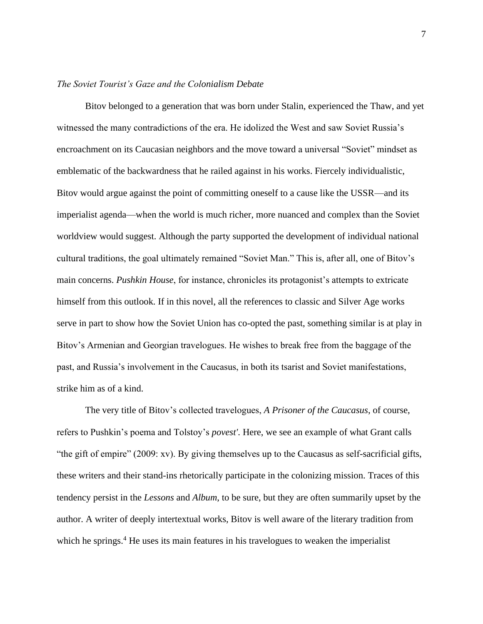# *The Soviet Tourist's Gaze and the Colonialism Debate*

Bitov belonged to a generation that was born under Stalin, experienced the Thaw, and yet witnessed the many contradictions of the era. He idolized the West and saw Soviet Russia's encroachment on its Caucasian neighbors and the move toward a universal "Soviet" mindset as emblematic of the backwardness that he railed against in his works. Fiercely individualistic, Bitov would argue against the point of committing oneself to a cause like the USSR—and its imperialist agenda—when the world is much richer, more nuanced and complex than the Soviet worldview would suggest. Although the party supported the development of individual national cultural traditions, the goal ultimately remained "Soviet Man." This is, after all, one of Bitov's main concerns. *Pushkin House*, for instance, chronicles its protagonist's attempts to extricate himself from this outlook. If in this novel, all the references to classic and Silver Age works serve in part to show how the Soviet Union has co-opted the past, something similar is at play in Bitov's Armenian and Georgian travelogues. He wishes to break free from the baggage of the past, and Russia's involvement in the Caucasus, in both its tsarist and Soviet manifestations, strike him as of a kind.

The very title of Bitov's collected travelogues, *A Prisoner of the Caucasus*, of course, refers to Pushkin's poema and Tolstoy's *povest'*. Here, we see an example of what Grant calls "the gift of empire" (2009: xv). By giving themselves up to the Caucasus as self-sacrificial gifts, these writers and their stand-ins rhetorically participate in the colonizing mission. Traces of this tendency persist in the *Lessons* and *Album*, to be sure, but they are often summarily upset by the author. A writer of deeply intertextual works, Bitov is well aware of the literary tradition from which he springs.<sup>4</sup> He uses its main features in his travelogues to weaken the imperialist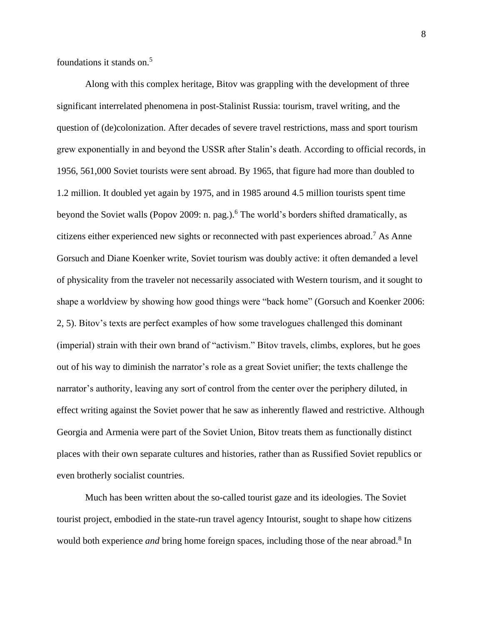foundations it stands on.<sup>5</sup>

Along with this complex heritage, Bitov was grappling with the development of three significant interrelated phenomena in post-Stalinist Russia: tourism, travel writing, and the question of (de)colonization. After decades of severe travel restrictions, mass and sport tourism grew exponentially in and beyond the USSR after Stalin's death. According to official records, in 1956, 561,000 Soviet tourists were sent abroad. By 1965, that figure had more than doubled to 1.2 million. It doubled yet again by 1975, and in 1985 around 4.5 million tourists spent time beyond the Soviet walls (Popov 2009: n. pag.).<sup>6</sup> The world's borders shifted dramatically, as citizens either experienced new sights or reconnected with past experiences abroad.<sup>7</sup> As Anne Gorsuch and Diane Koenker write, Soviet tourism was doubly active: it often demanded a level of physicality from the traveler not necessarily associated with Western tourism, and it sought to shape a worldview by showing how good things were "back home" (Gorsuch and Koenker 2006: 2, 5). Bitov's texts are perfect examples of how some travelogues challenged this dominant (imperial) strain with their own brand of "activism." Bitov travels, climbs, explores, but he goes out of his way to diminish the narrator's role as a great Soviet unifier; the texts challenge the narrator's authority, leaving any sort of control from the center over the periphery diluted, in effect writing against the Soviet power that he saw as inherently flawed and restrictive. Although Georgia and Armenia were part of the Soviet Union, Bitov treats them as functionally distinct places with their own separate cultures and histories, rather than as Russified Soviet republics or even brotherly socialist countries.

Much has been written about the so-called tourist gaze and its ideologies. The Soviet tourist project, embodied in the state-run travel agency Intourist, sought to shape how citizens would both experience *and* bring home foreign spaces, including those of the near abroad.<sup>8</sup> In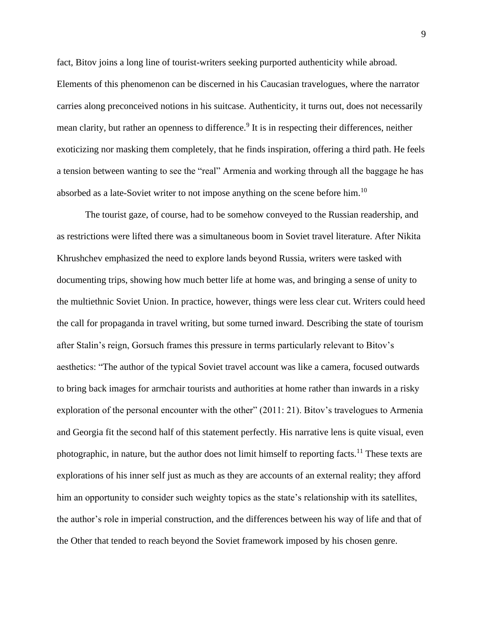fact, Bitov joins a long line of tourist-writers seeking purported authenticity while abroad. Elements of this phenomenon can be discerned in his Caucasian travelogues, where the narrator carries along preconceived notions in his suitcase. Authenticity, it turns out, does not necessarily mean clarity, but rather an openness to difference.<sup>9</sup> It is in respecting their differences, neither exoticizing nor masking them completely, that he finds inspiration, offering a third path. He feels a tension between wanting to see the "real" Armenia and working through all the baggage he has absorbed as a late-Soviet writer to not impose anything on the scene before him.<sup>10</sup>

The tourist gaze, of course, had to be somehow conveyed to the Russian readership, and as restrictions were lifted there was a simultaneous boom in Soviet travel literature. After Nikita Khrushchev emphasized the need to explore lands beyond Russia, writers were tasked with documenting trips, showing how much better life at home was, and bringing a sense of unity to the multiethnic Soviet Union. In practice, however, things were less clear cut. Writers could heed the call for propaganda in travel writing, but some turned inward. Describing the state of tourism after Stalin's reign, Gorsuch frames this pressure in terms particularly relevant to Bitov's aesthetics: "The author of the typical Soviet travel account was like a camera, focused outwards to bring back images for armchair tourists and authorities at home rather than inwards in a risky exploration of the personal encounter with the other" (2011: 21). Bitov's travelogues to Armenia and Georgia fit the second half of this statement perfectly. His narrative lens is quite visual, even photographic, in nature, but the author does not limit himself to reporting facts.<sup>11</sup> These texts are explorations of his inner self just as much as they are accounts of an external reality; they afford him an opportunity to consider such weighty topics as the state's relationship with its satellites, the author's role in imperial construction, and the differences between his way of life and that of the Other that tended to reach beyond the Soviet framework imposed by his chosen genre.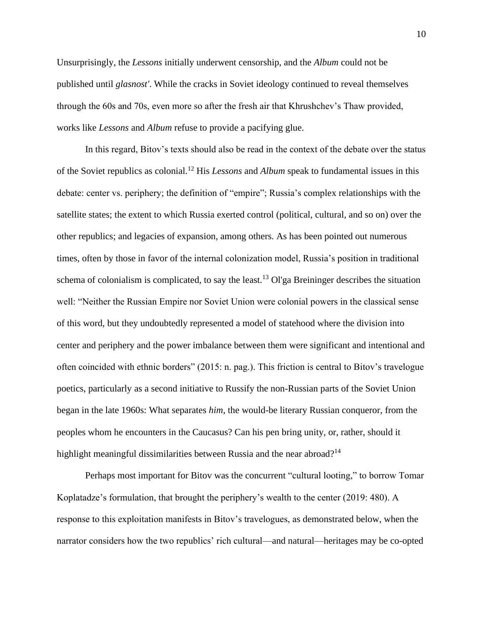Unsurprisingly, the *Lessons* initially underwent censorship, and the *Album* could not be published until *glasnost'*. While the cracks in Soviet ideology continued to reveal themselves through the 60s and 70s, even more so after the fresh air that Khrushchev's Thaw provided, works like *Lessons* and *Album* refuse to provide a pacifying glue.

In this regard, Bitov's texts should also be read in the context of the debate over the status of the Soviet republics as colonial.<sup>12</sup> His *Lessons* and *Album* speak to fundamental issues in this debate: center vs. periphery; the definition of "empire"; Russia's complex relationships with the satellite states; the extent to which Russia exerted control (political, cultural, and so on) over the other republics; and legacies of expansion, among others. As has been pointed out numerous times, often by those in favor of the internal colonization model, Russia's position in traditional schema of colonialism is complicated, to say the least.<sup>13</sup> Ol'ga Breininger describes the situation well: "Neither the Russian Empire nor Soviet Union were colonial powers in the classical sense of this word, but they undoubtedly represented a model of statehood where the division into center and periphery and the power imbalance between them were significant and intentional and often coincided with ethnic borders" (2015: n. pag.). This friction is central to Bitov's travelogue poetics, particularly as a second initiative to Russify the non-Russian parts of the Soviet Union began in the late 1960s: What separates *him*, the would-be literary Russian conqueror, from the peoples whom he encounters in the Caucasus? Can his pen bring unity, or, rather, should it highlight meaningful dissimilarities between Russia and the near abroad?<sup>14</sup>

Perhaps most important for Bitov was the concurrent "cultural looting," to borrow Tomar Koplatadze's formulation, that brought the periphery's wealth to the center (2019: 480). A response to this exploitation manifests in Bitov's travelogues, as demonstrated below, when the narrator considers how the two republics' rich cultural—and natural—heritages may be co-opted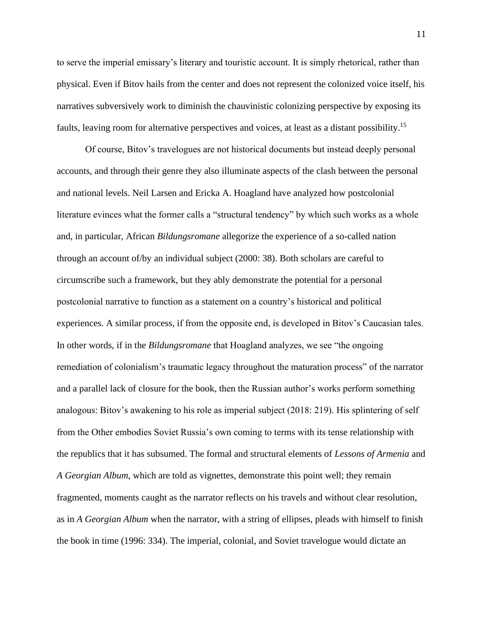to serve the imperial emissary's literary and touristic account. It is simply rhetorical, rather than physical. Even if Bitov hails from the center and does not represent the colonized voice itself, his narratives subversively work to diminish the chauvinistic colonizing perspective by exposing its faults, leaving room for alternative perspectives and voices, at least as a distant possibility.<sup>15</sup>

Of course, Bitov's travelogues are not historical documents but instead deeply personal accounts, and through their genre they also illuminate aspects of the clash between the personal and national levels. Neil Larsen and Ericka A. Hoagland have analyzed how postcolonial literature evinces what the former calls a "structural tendency" by which such works as a whole and, in particular, African *Bildungsromane* allegorize the experience of a so-called nation through an account of/by an individual subject (2000: 38). Both scholars are careful to circumscribe such a framework, but they ably demonstrate the potential for a personal postcolonial narrative to function as a statement on a country's historical and political experiences. A similar process, if from the opposite end, is developed in Bitov's Caucasian tales. In other words, if in the *Bildungsromane* that Hoagland analyzes, we see "the ongoing remediation of colonialism's traumatic legacy throughout the maturation process" of the narrator and a parallel lack of closure for the book, then the Russian author's works perform something analogous: Bitov's awakening to his role as imperial subject (2018: 219). His splintering of self from the Other embodies Soviet Russia's own coming to terms with its tense relationship with the republics that it has subsumed. The formal and structural elements of *Lessons of Armenia* and *A Georgian Album*, which are told as vignettes, demonstrate this point well; they remain fragmented, moments caught as the narrator reflects on his travels and without clear resolution, as in *A Georgian Album* when the narrator, with a string of ellipses, pleads with himself to finish the book in time (1996: 334). The imperial, colonial, and Soviet travelogue would dictate an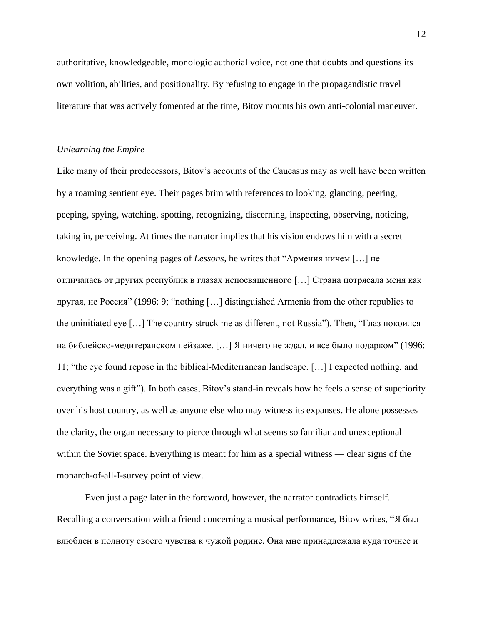authoritative, knowledgeable, monologic authorial voice, not one that doubts and questions its own volition, abilities, and positionality. By refusing to engage in the propagandistic travel literature that was actively fomented at the time, Bitov mounts his own anti-colonial maneuver.

#### *Unlearning the Empire*

Like many of their predecessors, Bitov's accounts of the Caucasus may as well have been written by a roaming sentient eye. Their pages brim with references to looking, glancing, peering, peeping, spying, watching, spotting, recognizing, discerning, inspecting, observing, noticing, taking in, perceiving. At times the narrator implies that his vision endows him with a secret knowledge. In the opening pages of *Lessons*, he writes that "Армения ничем […] не отличалась от других республик в глазах непосвященного […] Страна потрясала меня как другая, не Россия" (1996: 9; "nothing […] distinguished Armenia from the other republics to the uninitiated eye […] The country struck me as different, not Russia"). Then, "Глаз покоился на библейско-медитеранском пейзаже. […] Я ничего не ждал, и все было подарком" (1996: 11; "the eye found repose in the biblical-Mediterranean landscape. […] I expected nothing, and everything was a gift"). In both cases, Bitov's stand-in reveals how he feels a sense of superiority over his host country, as well as anyone else who may witness its expanses. He alone possesses the clarity, the organ necessary to pierce through what seems so familiar and unexceptional within the Soviet space. Everything is meant for him as a special witness — clear signs of the monarch-of-all-I-survey point of view.

Even just a page later in the foreword, however, the narrator contradicts himself. Recalling a conversation with a friend concerning a musical performance, Bitov writes, "Я был влюблен в полноту своего чувства к чужой родине. Она мне принадлежала куда точнее и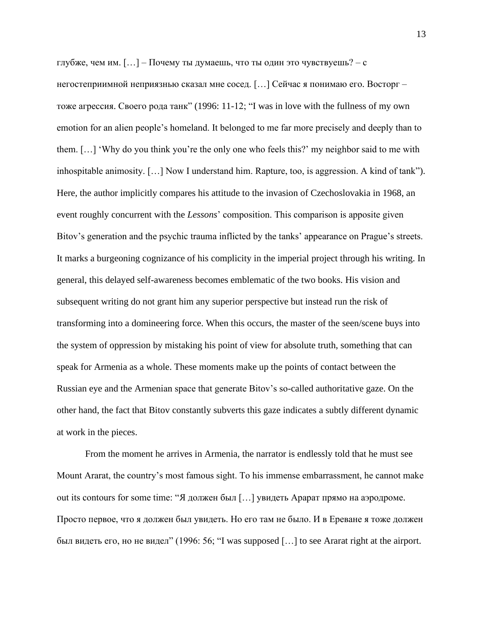глубже, чем им. […] – Почему ты думаешь, что ты один это чувствуешь? – с негостеприимной неприязнью сказал мне сосед. […] Сейчас я понимаю его. Восторг – тоже агрессия. Своего рода танк" (1996: 11-12; "I was in love with the fullness of my own emotion for an alien people's homeland. It belonged to me far more precisely and deeply than to them. […] 'Why do you think you're the only one who feels this?' my neighbor said to me with inhospitable animosity. […] Now I understand him. Rapture, too, is aggression. A kind of tank"). Here, the author implicitly compares his attitude to the invasion of Czechoslovakia in 1968, an event roughly concurrent with the *Lessons*' composition. This comparison is apposite given Bitov's generation and the psychic trauma inflicted by the tanks' appearance on Prague's streets. It marks a burgeoning cognizance of his complicity in the imperial project through his writing. In general, this delayed self-awareness becomes emblematic of the two books. His vision and subsequent writing do not grant him any superior perspective but instead run the risk of transforming into a domineering force. When this occurs, the master of the seen/scene buys into the system of oppression by mistaking his point of view for absolute truth, something that can speak for Armenia as a whole. These moments make up the points of contact between the Russian eye and the Armenian space that generate Bitov's so-called authoritative gaze. On the other hand, the fact that Bitov constantly subverts this gaze indicates a subtly different dynamic at work in the pieces.

From the moment he arrives in Armenia, the narrator is endlessly told that he must see Mount Ararat, the country's most famous sight. To his immense embarrassment, he cannot make out its contours for some time: "Я должен был […] увидеть Арарат прямо на аэродроме. Просто первое, что я должен был увидеть. Но его там не было. И в Ереване я тоже должен был видеть его, но не видел" (1996: 56; "I was supposed […] to see Ararat right at the airport.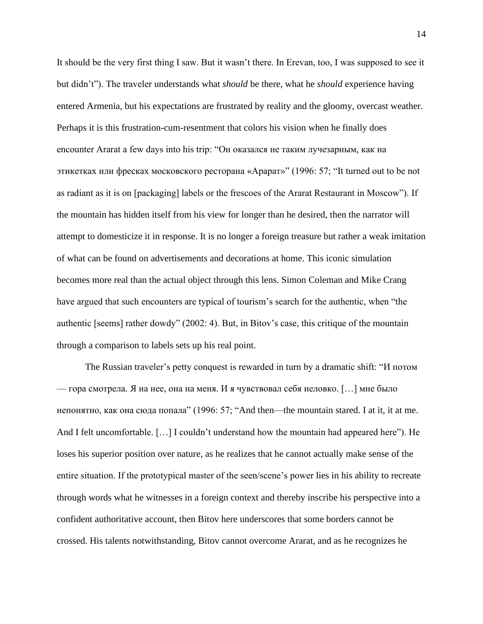It should be the very first thing I saw. But it wasn't there. In Erevan, too, I was supposed to see it but didn't"). The traveler understands what *should* be there, what he *should* experience having entered Armenia, but his expectations are frustrated by reality and the gloomy, overcast weather. Perhaps it is this frustration-cum-resentment that colors his vision when he finally does encounter Ararat a few days into his trip: "Он оказался не таким лучезарным, как на этикетках или фресках московского ресторана «Арарат»" (1996: 57; "It turned out to be not as radiant as it is on [packaging] labels or the frescoes of the Ararat Restaurant in Moscow"). If the mountain has hidden itself from his view for longer than he desired, then the narrator will attempt to domesticize it in response. It is no longer a foreign treasure but rather a weak imitation of what can be found on advertisements and decorations at home. This iconic simulation becomes more real than the actual object through this lens. Simon Coleman and Mike Crang have argued that such encounters are typical of tourism's search for the authentic, when "the authentic [seems] rather dowdy" (2002: 4). But, in Bitov's case, this critique of the mountain through a comparison to labels sets up his real point.

The Russian traveler's petty conquest is rewarded in turn by a dramatic shift: "И потом — гора смотрела. Я на нее, она на меня. И я чувствовал себя неловко. […] мне было непонятно, как она сюда попала" (1996: 57; "And then—the mountain stared. I at it, it at me. And I felt uncomfortable. [...] I couldn't understand how the mountain had appeared here"). He loses his superior position over nature, as he realizes that he cannot actually make sense of the entire situation. If the prototypical master of the seen/scene's power lies in his ability to recreate through words what he witnesses in a foreign context and thereby inscribe his perspective into a confident authoritative account, then Bitov here underscores that some borders cannot be crossed. His talents notwithstanding, Bitov cannot overcome Ararat, and as he recognizes he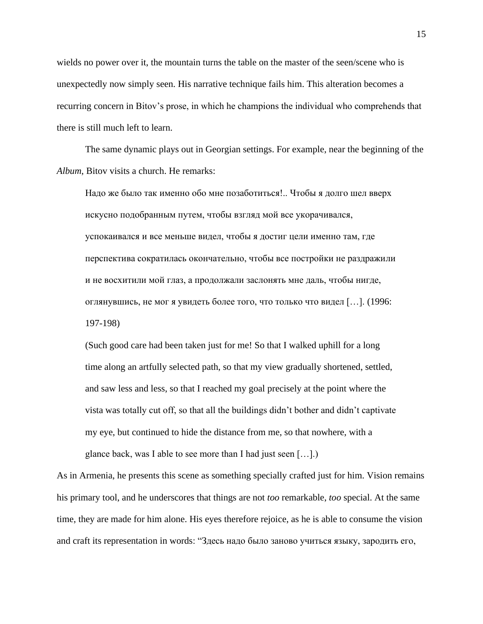wields no power over it, the mountain turns the table on the master of the seen/scene who is unexpectedly now simply seen. His narrative technique fails him. This alteration becomes a recurring concern in Bitov's prose, in which he champions the individual who comprehends that there is still much left to learn.

The same dynamic plays out in Georgian settings. For example, near the beginning of the *Album*, Bitov visits a church. He remarks:

Надо же было так именно обо мне позаботиться!.. Чтобы я долго шел вверх искусно подобранным путем, чтобы взгляд мой все укорачивался, успокаивался и все меньше видел, чтобы я достиг цели именно там, где перспектива сократилась окончательно, чтобы все постройки не раздражили и не восхитили мой глаз, а продолжали заслонять мне даль, чтобы нигде, оглянувшись, не мог я увидеть более того, что только что видел […]. (1996: 197-198)

(Such good care had been taken just for me! So that I walked uphill for a long time along an artfully selected path, so that my view gradually shortened, settled, and saw less and less, so that I reached my goal precisely at the point where the vista was totally cut off, so that all the buildings didn't bother and didn't captivate my eye, but continued to hide the distance from me, so that nowhere, with a glance back, was I able to see more than I had just seen […].)

As in Armenia, he presents this scene as something specially crafted just for him. Vision remains his primary tool, and he underscores that things are not *too* remarkable, *too* special. At the same time, they are made for him alone. His eyes therefore rejoice, as he is able to consume the vision and craft its representation in words: "Здесь надо было заново учиться языку, зародить его,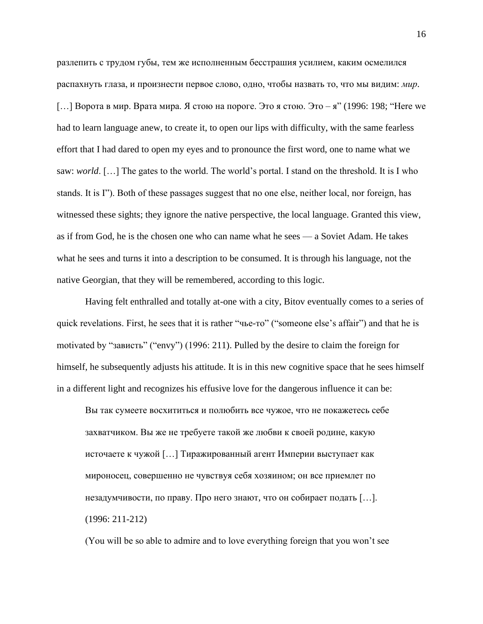разлепить с трудом губы, тем же исполненным бесстрашия усилием, каким осмелился распахнуть глаза, и произнести первое слово, одно, чтобы назвать то, что мы видим: *мир*. [...] Ворота в мир. Врата мира. Я стою на пороге. Это я стою. Это – я" (1996: 198; "Here we had to learn language anew, to create it, to open our lips with difficulty, with the same fearless effort that I had dared to open my eyes and to pronounce the first word, one to name what we saw: *world*. […] The gates to the world. The world's portal. I stand on the threshold. It is I who stands. It is I"). Both of these passages suggest that no one else, neither local, nor foreign, has witnessed these sights; they ignore the native perspective, the local language. Granted this view, as if from God, he is the chosen one who can name what he sees — a Soviet Adam. He takes what he sees and turns it into a description to be consumed. It is through his language, not the native Georgian, that they will be remembered, according to this logic.

Having felt enthralled and totally at-one with a city, Bitov eventually comes to a series of quick revelations. First, he sees that it is rather "чье-то" ("someone else's affair") and that he is motivated by "зависть" ("envy") (1996: 211). Pulled by the desire to claim the foreign for himself, he subsequently adjusts his attitude. It is in this new cognitive space that he sees himself in a different light and recognizes his effusive love for the dangerous influence it can be:

Вы так сумеете восхититься и полюбить все чужое, что не покажетесь себе захватчиком. Вы же не требуете такой же любви к своей родине, какую источаете к чужой […] Тиражированный агент Империи выступает как мироносец, совершенно не чувствуя себя хозяином; он все приемлет по незадумчивости, по праву. Про него знают, что он собирает подать […]. (1996: 211-212)

(You will be so able to admire and to love everything foreign that you won't see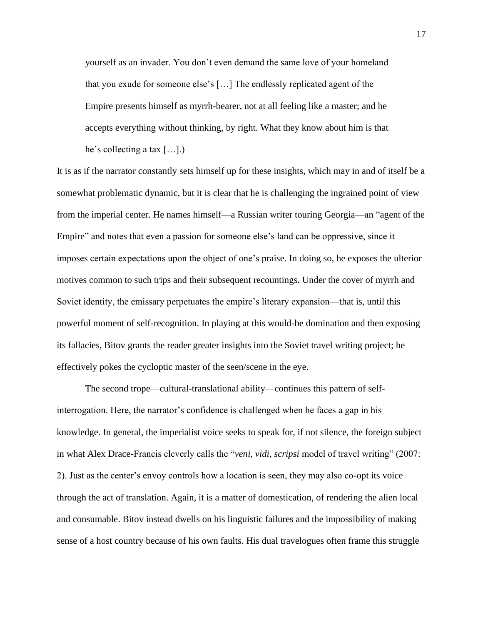yourself as an invader. You don't even demand the same love of your homeland that you exude for someone else's […] The endlessly replicated agent of the Empire presents himself as myrrh-bearer, not at all feeling like a master; and he accepts everything without thinking, by right. What they know about him is that he's collecting a tax […].)

It is as if the narrator constantly sets himself up for these insights, which may in and of itself be a somewhat problematic dynamic, but it is clear that he is challenging the ingrained point of view from the imperial center. He names himself—a Russian writer touring Georgia—an "agent of the Empire" and notes that even a passion for someone else's land can be oppressive, since it imposes certain expectations upon the object of one's praise. In doing so, he exposes the ulterior motives common to such trips and their subsequent recountings. Under the cover of myrrh and Soviet identity, the emissary perpetuates the empire's literary expansion—that is, until this powerful moment of self-recognition. In playing at this would-be domination and then exposing its fallacies, Bitov grants the reader greater insights into the Soviet travel writing project; he effectively pokes the cycloptic master of the seen/scene in the eye.

The second trope—cultural-translational ability—continues this pattern of selfinterrogation. Here, the narrator's confidence is challenged when he faces a gap in his knowledge. In general, the imperialist voice seeks to speak for, if not silence, the foreign subject in what Alex Drace-Francis cleverly calls the "*veni, vidi, scripsi* model of travel writing" (2007: 2). Just as the center's envoy controls how a location is seen, they may also co-opt its voice through the act of translation. Again, it is a matter of domestication, of rendering the alien local and consumable. Bitov instead dwells on his linguistic failures and the impossibility of making sense of a host country because of his own faults. His dual travelogues often frame this struggle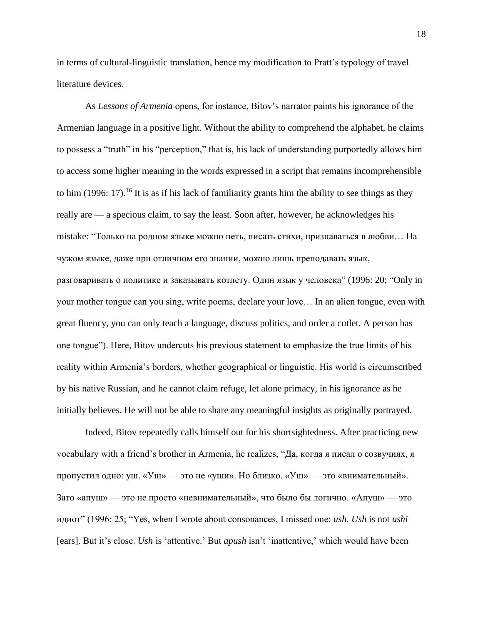in terms of cultural-linguistic translation, hence my modification to Pratt's typology of travel literature devices.

As *Lessons of Armenia* opens, for instance, Bitov's narrator paints his ignorance of the Armenian language in a positive light. Without the ability to comprehend the alphabet, he claims to possess a "truth" in his "perception," that is, his lack of understanding purportedly allows him to access some higher meaning in the words expressed in a script that remains incomprehensible to him (1996: 17).<sup>16</sup> It is as if his lack of familiarity grants him the ability to see things as they really are — a specious claim, to say the least. Soon after, however, he acknowledges his mistake: "Только на родном языке можно петь, писать стихи, признаваться в любви… На чужом языке, даже при отличном его знании, можно лишь преподавать язык, разговаривать о политике и заказывать котлету. Один язык у человека" (1996: 20; "Only in your mother tongue can you sing, write poems, declare your love… In an alien tongue, even with great fluency, you can only teach a language, discuss politics, and order a cutlet. A person has one tongue"). Here, Bitov undercuts his previous statement to emphasize the true limits of his reality within Armenia's borders, whether geographical or linguistic. His world is circumscribed by his native Russian, and he cannot claim refuge, let alone primacy, in his ignorance as he initially believes. He will not be able to share any meaningful insights as originally portrayed.

Indeed, Bitov repeatedly calls himself out for his shortsightedness. After practicing new vocabulary with a friend's brother in Armenia, he realizes, "Да, когда я писал о созвучиях, я пропустил одно: уш. «Уш» — это не «уши». Но близко. «Уш» — это «внимательный». Зато «апуш» — это не просто «невнимательный», что было бы логично. «Апуш» — это идиот" (1996: 25; "Yes, when I wrote about consonances, I missed one: *ush*. *Ush* is not *ushi*  [ears]. But it's close. *Ush* is 'attentive.' But *apush* isn't 'inattentive,' which would have been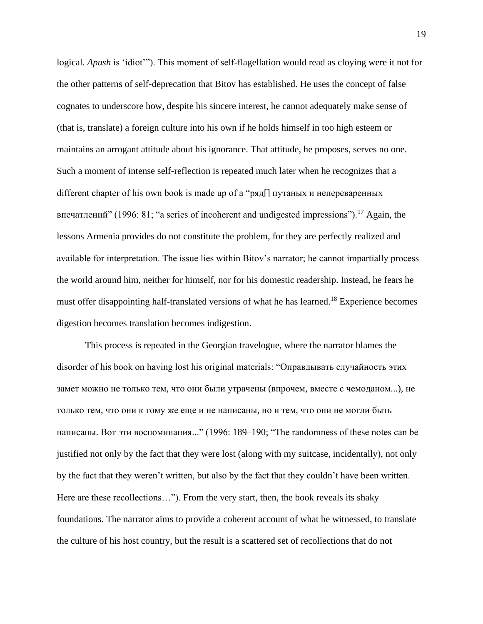logical. *Apush* is 'idiot'"). This moment of self-flagellation would read as cloying were it not for the other patterns of self-deprecation that Bitov has established. He uses the concept of false cognates to underscore how, despite his sincere interest, he cannot adequately make sense of (that is, translate) a foreign culture into his own if he holds himself in too high esteem or maintains an arrogant attitude about his ignorance. That attitude, he proposes, serves no one. Such a moment of intense self-reflection is repeated much later when he recognizes that a different chapter of his own book is made up of a "ряд[] путаных и непереваренных впечатлений" (1996: 81; "a series of incoherent and undigested impressions").<sup>17</sup> Again, the lessons Armenia provides do not constitute the problem, for they are perfectly realized and available for interpretation. The issue lies within Bitov's narrator; he cannot impartially process the world around him, neither for himself, nor for his domestic readership. Instead, he fears he must offer disappointing half-translated versions of what he has learned.<sup>18</sup> Experience becomes digestion becomes translation becomes indigestion.

This process is repeated in the Georgian travelogue, where the narrator blames the disorder of his book on having lost his original materials: "Оправдывать случайность этих замет можно не только тем, что они были утрачены (впрочем, вместе с чемоданом...), не только тем, что они к тому же еще и не написаны, но и тем, что они не могли быть написаны. Вот эти воспоминания..." (1996: 189–190; "The randomness of these notes can be justified not only by the fact that they were lost (along with my suitcase, incidentally), not only by the fact that they weren't written, but also by the fact that they couldn't have been written. Here are these recollections…"). From the very start, then, the book reveals its shaky foundations. The narrator aims to provide a coherent account of what he witnessed, to translate the culture of his host country, but the result is a scattered set of recollections that do not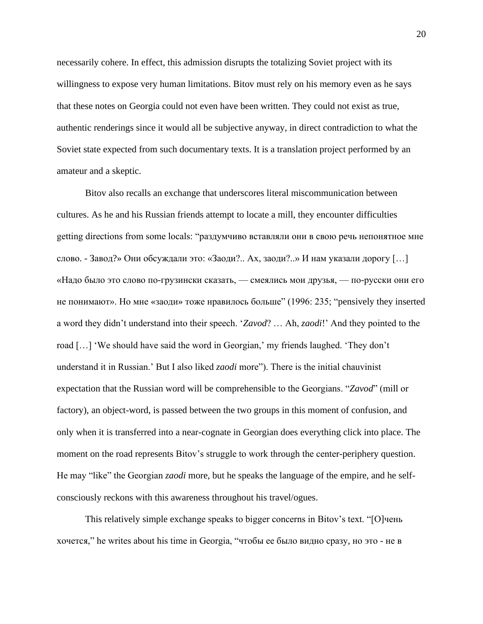necessarily cohere. In effect, this admission disrupts the totalizing Soviet project with its willingness to expose very human limitations. Bitov must rely on his memory even as he says that these notes on Georgia could not even have been written. They could not exist as true, authentic renderings since it would all be subjective anyway, in direct contradiction to what the Soviet state expected from such documentary texts. It is a translation project performed by an amateur and a skeptic.

Bitov also recalls an exchange that underscores literal miscommunication between cultures. As he and his Russian friends attempt to locate a mill, they encounter difficulties getting directions from some locals: "раздумчиво вставляли они в свою речь непонятное мне слово. - Завод?» Они обсуждали это: «Заоди?.. Ах, заоди?..» И нам указали дорогу […] «Надо было это слово по-грузински сказать, — смеялись мои друзья, — по-русски они его не понимают». Но мне «заоди» тоже нравилось больше" (1996: 235; "pensively they inserted a word they didn't understand into their speech. '*Zavod*? … Ah, *zaodi*!' And they pointed to the road […] 'We should have said the word in Georgian,' my friends laughed. 'They don't understand it in Russian.' But I also liked *zaodi* more"). There is the initial chauvinist expectation that the Russian word will be comprehensible to the Georgians. "*Zavod*" (mill or factory), an object-word, is passed between the two groups in this moment of confusion, and only when it is transferred into a near-cognate in Georgian does everything click into place. The moment on the road represents Bitov's struggle to work through the center-periphery question. He may "like" the Georgian *zaodi* more, but he speaks the language of the empire, and he selfconsciously reckons with this awareness throughout his travel/ogues.

This relatively simple exchange speaks to bigger concerns in Bitov's text. "[О]чень хочется," he writes about his time in Georgia, "чтобы ее было видно сразу, но это - не в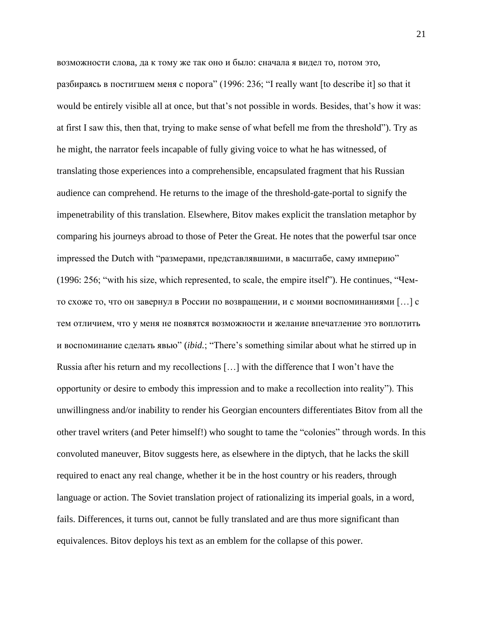возможности слова, да к тому же так оно и было: сначала я видел то, потом это, разбираясь в постигшем меня с порога" (1996: 236; "I really want [to describe it] so that it would be entirely visible all at once, but that's not possible in words. Besides, that's how it was: at first I saw this, then that, trying to make sense of what befell me from the threshold"). Try as he might, the narrator feels incapable of fully giving voice to what he has witnessed, of translating those experiences into a comprehensible, encapsulated fragment that his Russian audience can comprehend. He returns to the image of the threshold-gate-portal to signify the impenetrability of this translation. Elsewhere, Bitov makes explicit the translation metaphor by comparing his journeys abroad to those of Peter the Great. He notes that the powerful tsar once impressed the Dutch with "размерами, представлявшими, в масштабе, саму империю" (1996: 256; "with his size, which represented, to scale, the empire itself"). He continues, "Чемто схоже то, что он завернул в России по возвращении, и с моими воспоминаниями […] с тем отличием, что у меня не появятся возможности и желание впечатление это воплотить и воспоминание сделать явью" (*ibid.*; "There's something similar about what he stirred up in Russia after his return and my recollections […] with the difference that I won't have the opportunity or desire to embody this impression and to make a recollection into reality"). This unwillingness and/or inability to render his Georgian encounters differentiates Bitov from all the other travel writers (and Peter himself!) who sought to tame the "colonies" through words. In this convoluted maneuver, Bitov suggests here, as elsewhere in the diptych, that he lacks the skill required to enact any real change, whether it be in the host country or his readers, through language or action. The Soviet translation project of rationalizing its imperial goals, in a word, fails. Differences, it turns out, cannot be fully translated and are thus more significant than equivalences. Bitov deploys his text as an emblem for the collapse of this power.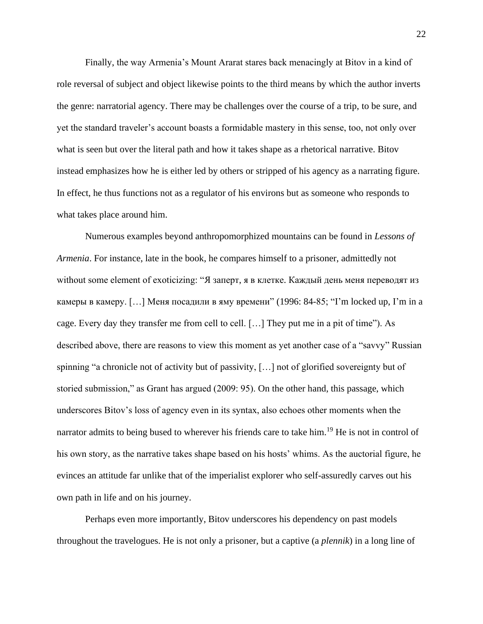Finally, the way Armenia's Mount Ararat stares back menacingly at Bitov in a kind of role reversal of subject and object likewise points to the third means by which the author inverts the genre: narratorial agency. There may be challenges over the course of a trip, to be sure, and yet the standard traveler's account boasts a formidable mastery in this sense, too, not only over what is seen but over the literal path and how it takes shape as a rhetorical narrative. Bitov instead emphasizes how he is either led by others or stripped of his agency as a narrating figure. In effect, he thus functions not as a regulator of his environs but as someone who responds to what takes place around him.

Numerous examples beyond anthropomorphized mountains can be found in *Lessons of Armenia*. For instance, late in the book, he compares himself to a prisoner, admittedly not without some element of exoticizing: "Я заперт, я в клетке. Каждый день меня переводят из камеры в камеру. [...] Меня посадили в яму времени" (1996: 84-85; "I'm locked up, I'm in a cage. Every day they transfer me from cell to cell. […] They put me in a pit of time"). As described above, there are reasons to view this moment as yet another case of a "savvy" Russian spinning "a chronicle not of activity but of passivity, […] not of glorified sovereignty but of storied submission," as Grant has argued (2009: 95). On the other hand, this passage, which underscores Bitov's loss of agency even in its syntax, also echoes other moments when the narrator admits to being bused to wherever his friends care to take him.<sup>19</sup> He is not in control of his own story, as the narrative takes shape based on his hosts' whims. As the auctorial figure, he evinces an attitude far unlike that of the imperialist explorer who self-assuredly carves out his own path in life and on his journey.

Perhaps even more importantly, Bitov underscores his dependency on past models throughout the travelogues. He is not only a prisoner, but a captive (a *plennik*) in a long line of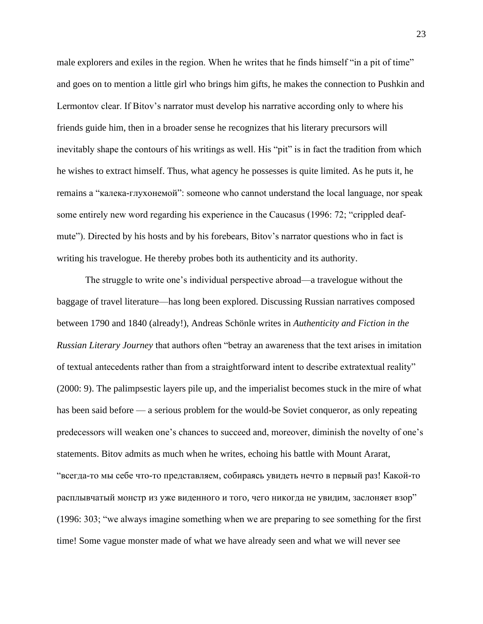male explorers and exiles in the region. When he writes that he finds himself "in a pit of time" and goes on to mention a little girl who brings him gifts, he makes the connection to Pushkin and Lermontov clear. If Bitov's narrator must develop his narrative according only to where his friends guide him, then in a broader sense he recognizes that his literary precursors will inevitably shape the contours of his writings as well. His "pit" is in fact the tradition from which he wishes to extract himself. Thus, what agency he possesses is quite limited. As he puts it, he remains a "калека-глухонемой": someone who cannot understand the local language, nor speak some entirely new word regarding his experience in the Caucasus (1996: 72; "crippled deafmute"). Directed by his hosts and by his forebears, Bitov's narrator questions who in fact is writing his travelogue. He thereby probes both its authenticity and its authority.

The struggle to write one's individual perspective abroad—a travelogue without the baggage of travel literature—has long been explored. Discussing Russian narratives composed between 1790 and 1840 (already!), Andreas Schönle writes in *Authenticity and Fiction in the Russian Literary Journey* that authors often "betray an awareness that the text arises in imitation of textual antecedents rather than from a straightforward intent to describe extratextual reality" (2000: 9). The palimpsestic layers pile up, and the imperialist becomes stuck in the mire of what has been said before — a serious problem for the would-be Soviet conqueror, as only repeating predecessors will weaken one's chances to succeed and, moreover, diminish the novelty of one's statements. Bitov admits as much when he writes, echoing his battle with Mount Ararat, "всегда-то мы себе что-то представляем, собираясь увидеть нечто в первый раз! Какой-то расплывчатый монстр из уже виденного и того, чего никогда не увидим, заслоняет взор" (1996: 303; "we always imagine something when we are preparing to see something for the first time! Some vague monster made of what we have already seen and what we will never see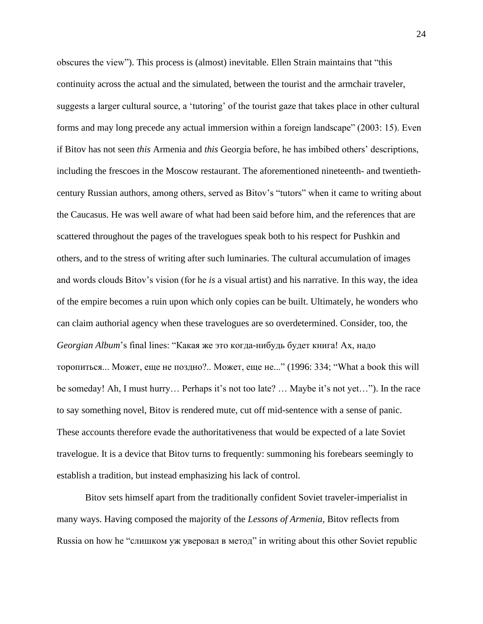obscures the view"). This process is (almost) inevitable. Ellen Strain maintains that "this continuity across the actual and the simulated, between the tourist and the armchair traveler, suggests a larger cultural source, a 'tutoring' of the tourist gaze that takes place in other cultural forms and may long precede any actual immersion within a foreign landscape" (2003: 15). Even if Bitov has not seen *this* Armenia and *this* Georgia before, he has imbibed others' descriptions, including the frescoes in the Moscow restaurant. The aforementioned nineteenth- and twentiethcentury Russian authors, among others, served as Bitov's "tutors" when it came to writing about the Caucasus. He was well aware of what had been said before him, and the references that are scattered throughout the pages of the travelogues speak both to his respect for Pushkin and others, and to the stress of writing after such luminaries. The cultural accumulation of images and words clouds Bitov's vision (for he *is* a visual artist) and his narrative. In this way, the idea of the empire becomes a ruin upon which only copies can be built. Ultimately, he wonders who can claim authorial agency when these travelogues are so overdetermined. Consider, too, the *Georgian Album*'s final lines: "Какая же это когда-нибудь будет книга! Ах, надо торопиться... Может, еще не поздно?.. Может, еще не..." (1996: 334; "What a book this will be someday! Ah, I must hurry… Perhaps it's not too late? … Maybe it's not yet…"). In the race to say something novel, Bitov is rendered mute, cut off mid-sentence with a sense of panic. These accounts therefore evade the authoritativeness that would be expected of a late Soviet travelogue. It is a device that Bitov turns to frequently: summoning his forebears seemingly to establish a tradition, but instead emphasizing his lack of control.

Bitov sets himself apart from the traditionally confident Soviet traveler-imperialist in many ways. Having composed the majority of the *Lessons of Armenia*, Bitov reflects from Russia on how he "слишком уж уверовал в метод" in writing about this other Soviet republic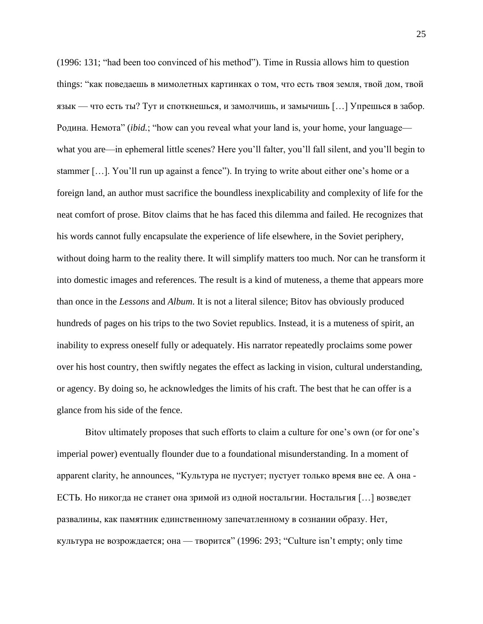(1996: 131; "had been too convinced of his method"). Time in Russia allows him to question things: "как поведаешь в мимолетных картинках о том, что есть твоя земля, твой дом, твой язык — что есть ты? Тут и споткнешься, и замолчишь, и замычишь […] Упрешься в забор. Родина. Немота" (*ibid.*; "how can you reveal what your land is, your home, your language what you are—in ephemeral little scenes? Here you'll falter, you'll fall silent, and you'll begin to stammer […]. You'll run up against a fence"). In trying to write about either one's home or a foreign land, an author must sacrifice the boundless inexplicability and complexity of life for the neat comfort of prose. Bitov claims that he has faced this dilemma and failed. He recognizes that his words cannot fully encapsulate the experience of life elsewhere, in the Soviet periphery, without doing harm to the reality there. It will simplify matters too much. Nor can he transform it into domestic images and references. The result is a kind of muteness, a theme that appears more than once in the *Lessons* and *Album*. It is not a literal silence; Bitov has obviously produced hundreds of pages on his trips to the two Soviet republics. Instead, it is a muteness of spirit, an inability to express oneself fully or adequately. His narrator repeatedly proclaims some power over his host country, then swiftly negates the effect as lacking in vision, cultural understanding, or agency. By doing so, he acknowledges the limits of his craft. The best that he can offer is a glance from his side of the fence.

Bitov ultimately proposes that such efforts to claim a culture for one's own (or for one's imperial power) eventually flounder due to a foundational misunderstanding. In a moment of apparent clarity, he announces, "Культура не пустует; пустует только время вне ее. А она - ЕСТЬ. Но никогда не станет она зримой из одной ностальгии. Ностальгия […] возведет развалины, как памятник единственному запечатленному в сознании образу. Нет, культура не возрождается; она — творится"  $(1996: 293; "Culture isn't empty; only time)$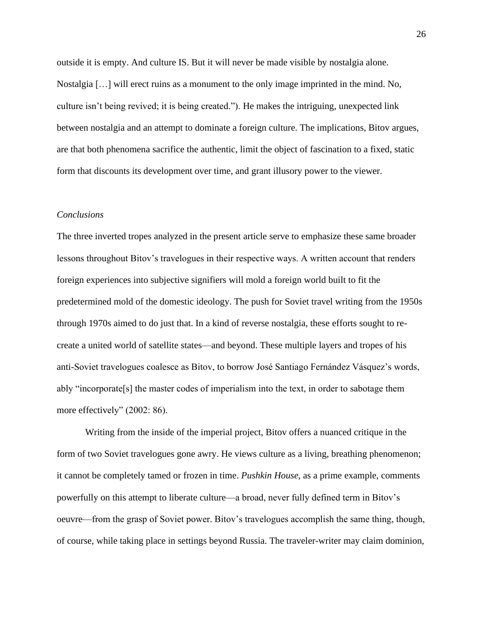outside it is empty. And culture IS. But it will never be made visible by nostalgia alone. Nostalgia […] will erect ruins as a monument to the only image imprinted in the mind. No, culture isn't being revived; it is being created."). He makes the intriguing, unexpected link between nostalgia and an attempt to dominate a foreign culture. The implications, Bitov argues, are that both phenomena sacrifice the authentic, limit the object of fascination to a fixed, static form that discounts its development over time, and grant illusory power to the viewer.

## *Conclusions*

The three inverted tropes analyzed in the present article serve to emphasize these same broader lessons throughout Bitov's travelogues in their respective ways. A written account that renders foreign experiences into subjective signifiers will mold a foreign world built to fit the predetermined mold of the domestic ideology. The push for Soviet travel writing from the 1950s through 1970s aimed to do just that. In a kind of reverse nostalgia, these efforts sought to recreate a united world of satellite states—and beyond. These multiple layers and tropes of his anti-Soviet travelogues coalesce as Bitov, to borrow José Santiago Fernández Vásquez's words, ably "incorporate[s] the master codes of imperialism into the text, in order to sabotage them more effectively" (2002: 86).

Writing from the inside of the imperial project, Bitov offers a nuanced critique in the form of two Soviet travelogues gone awry. He views culture as a living, breathing phenomenon; it cannot be completely tamed or frozen in time. *Pushkin House*, as a prime example, comments powerfully on this attempt to liberate culture—a broad, never fully defined term in Bitov's oeuvre—from the grasp of Soviet power. Bitov's travelogues accomplish the same thing, though, of course, while taking place in settings beyond Russia. The traveler-writer may claim dominion,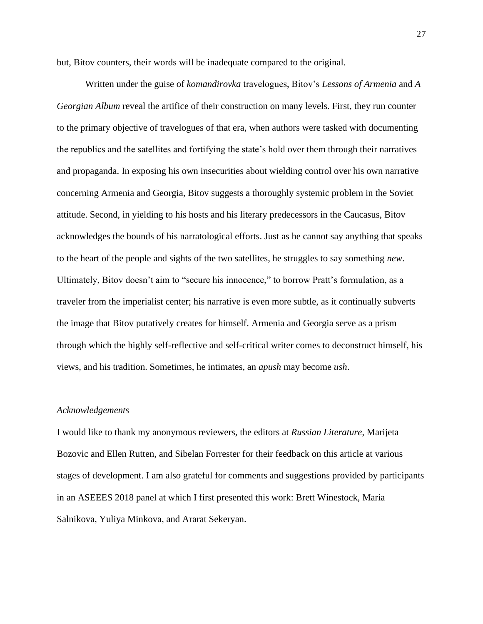but, Bitov counters, their words will be inadequate compared to the original.

Written under the guise of *komandirovka* travelogues, Bitov's *Lessons of Armenia* and *A Georgian Album* reveal the artifice of their construction on many levels. First, they run counter to the primary objective of travelogues of that era, when authors were tasked with documenting the republics and the satellites and fortifying the state's hold over them through their narratives and propaganda. In exposing his own insecurities about wielding control over his own narrative concerning Armenia and Georgia, Bitov suggests a thoroughly systemic problem in the Soviet attitude. Second, in yielding to his hosts and his literary predecessors in the Caucasus, Bitov acknowledges the bounds of his narratological efforts. Just as he cannot say anything that speaks to the heart of the people and sights of the two satellites, he struggles to say something *new*. Ultimately, Bitov doesn't aim to "secure his innocence," to borrow Pratt's formulation, as a traveler from the imperialist center; his narrative is even more subtle, as it continually subverts the image that Bitov putatively creates for himself. Armenia and Georgia serve as a prism through which the highly self-reflective and self-critical writer comes to deconstruct himself, his views, and his tradition. Sometimes, he intimates, an *apush* may become *ush*.

#### *Acknowledgements*

I would like to thank my anonymous reviewers, the editors at *Russian Literature*, Marijeta Bozovic and Ellen Rutten, and Sibelan Forrester for their feedback on this article at various stages of development. I am also grateful for comments and suggestions provided by participants in an ASEEES 2018 panel at which I first presented this work: Brett Winestock, Maria Salnikova, Yuliya Minkova, and Ararat Sekeryan.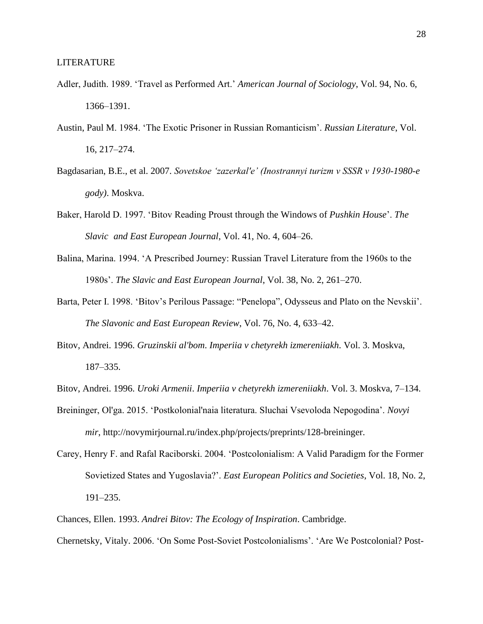- Adler, Judith. 1989. 'Travel as Performed Art.' *American Journal of Sociology*, Vol. 94, No. 6, 1366–1391.
- Austin, Paul M. 1984. 'The Exotic Prisoner in Russian Romanticism'. *Russian Literature*, Vol. 16, 217–274.
- Bagdasarian, B.E., et al. 2007. *Sovetskoe 'zazerkal'e' (Inostrannyi turizm v SSSR v 1930-1980-e gody)*. Moskva.
- Baker, Harold D. 1997. 'Bitov Reading Proust through the Windows of *Pushkin House*'. *The Slavic and East European Journal*, Vol. 41, No. 4, 604–26.
- Balina, Marina. 1994. 'A Prescribed Journey: Russian Travel Literature from the 1960s to the 1980s'. *The Slavic and East European Journal*, Vol. 38, No. 2, 261–270.
- Barta, Peter I. 1998. 'Bitov's Perilous Passage: "Penelopa", Odysseus and Plato on the Nevskii'. *The Slavonic and East European Review*, Vol. 76, No. 4, 633–42.
- Bitov, Andrei. 1996. *Gruzinskii al'bom*. *Imperiia v chetyrekh izmereniiakh*. Vol. 3. Moskva, 187–335.
- Bitov, Andrei. 1996. *Uroki Armenii*. *Imperiia v chetyrekh izmereniiakh*. Vol. 3. Moskva, 7–134.
- Breininger, Ol'ga. 2015. 'Postkolonial'naia literatura. Sluchai Vsevoloda Nepogodina'. *Novyi mir*, http://novymirjournal.ru/index.php/projects/preprints/128-breininger.
- Carey, Henry F. and Rafal Raciborski. 2004. 'Postcolonialism: A Valid Paradigm for the Former Sovietized States and Yugoslavia?'. *East European Politics and Societies*, Vol. 18, No. 2, 191–235.
- Chances, Ellen. 1993. *Andrei Bitov: The Ecology of Inspiration*. Cambridge.

Chernetsky, Vitaly. 2006. 'On Some Post-Soviet Postcolonialisms'. 'Are We Postcolonial? Post-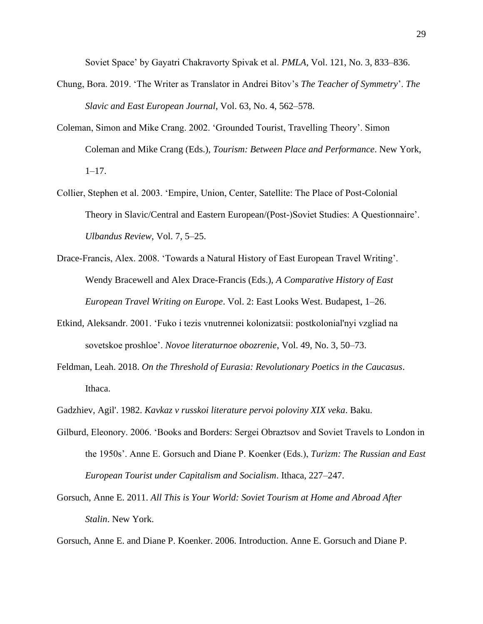Soviet Space' by Gayatri Chakravorty Spivak et al. *PMLA*, Vol. 121, No. 3, 833–836.

- Chung, Bora. 2019. 'The Writer as Translator in Andrei Bitov's *The Teacher of Symmetry*'. *The Slavic and East European Journal*, Vol. 63, No. 4, 562–578.
- Coleman, Simon and Mike Crang. 2002. 'Grounded Tourist, Travelling Theory'. Simon Coleman and Mike Crang (Eds.), *Tourism: Between Place and Performance*. New York,  $1-17.$
- Collier, Stephen et al. 2003. 'Empire, Union, Center, Satellite: The Place of Post-Colonial Theory in Slavic/Central and Eastern European/(Post-)Soviet Studies: A Questionnaire'. *Ulbandus Review*, Vol. 7, 5–25.
- Drace-Francis, Alex. 2008. 'Towards a Natural History of East European Travel Writing'. Wendy Bracewell and Alex Drace-Francis (Eds.), *A Comparative History of East European Travel Writing on Europe*. Vol. 2: East Looks West. Budapest, 1–26.
- Etkind, Aleksandr. 2001. 'Fuko i tezis vnutrennei kolonizatsii: postkolonial'nyi vzgliad na sovetskoe proshloe'. *Novoe literaturnoe obozrenie*, Vol. 49, No. 3, 50–73.
- Feldman, Leah. 2018. *On the Threshold of Eurasia: Revolutionary Poetics in the Caucasus*. Ithaca.
- Gadzhiev, Agil'. 1982. *Kavkaz v russkoi literature pervoi poloviny XIX veka*. Baku.
- Gilburd, Eleonory. 2006. 'Books and Borders: Sergei Obraztsov and Soviet Travels to London in the 1950s'. Anne E. Gorsuch and Diane P. Koenker (Eds.), *Turizm: The Russian and East European Tourist under Capitalism and Socialism*. Ithaca, 227–247.
- Gorsuch, Anne E. 2011. *All This is Your World: Soviet Tourism at Home and Abroad After Stalin*. New York.

Gorsuch, Anne E. and Diane P. Koenker. 2006. Introduction. Anne E. Gorsuch and Diane P.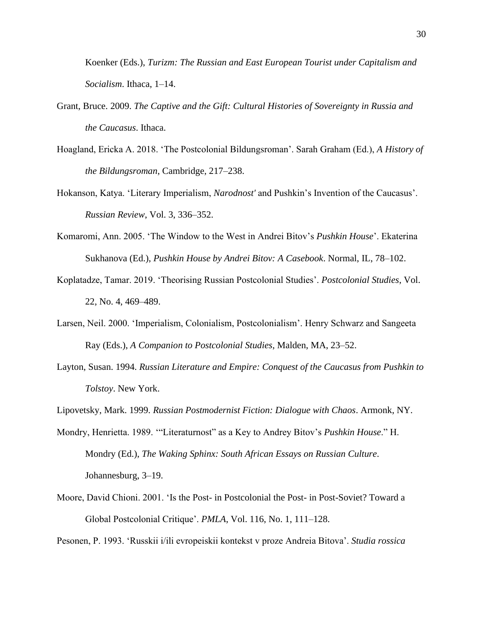Koenker (Eds.), *Turizm: The Russian and East European Tourist under Capitalism and Socialism*. Ithaca, 1–14.

- Grant, Bruce. 2009. *The Captive and the Gift: Cultural Histories of Sovereignty in Russia and the Caucasus*. Ithaca.
- Hoagland, Ericka A. 2018. 'The Postcolonial Bildungsroman'. Sarah Graham (Ed.), *A History of the Bildungsroman*, Cambridge, 217–238.
- Hokanson, Katya. 'Literary Imperialism, *Narodnost'* and Pushkin's Invention of the Caucasus'. *Russian Review*, Vol. 3, 336–352.
- Komaromi, Ann. 2005. 'The Window to the West in Andrei Bitov's *Pushkin House*'. Ekaterina Sukhanova (Ed.), *Pushkin House by Andrei Bitov: A Casebook*. Normal, IL, 78–102.
- Koplatadze, Tamar. 2019. 'Theorising Russian Postcolonial Studies'. *Postcolonial Studies*, Vol. 22, No. 4, 469–489.
- Larsen, Neil. 2000. 'Imperialism, Colonialism, Postcolonialism'. Henry Schwarz and Sangeeta Ray (Eds.), *A Companion to Postcolonial Studies*, Malden, MA, 23–52.
- Layton, Susan. 1994. *Russian Literature and Empire: Conquest of the Caucasus from Pushkin to Tolstoy*. New York.
- Lipovetsky, Mark. 1999. *Russian Postmodernist Fiction: Dialogue with Chaos*. Armonk, NY.
- Mondry, Henrietta. 1989. '"Literaturnost" as a Key to Andrey Bitov's *Pushkin House*." H. Mondry (Ed.), *The Waking Sphinx: South African Essays on Russian Culture*. Johannesburg, 3–19.
- Moore, David Chioni. 2001. 'Is the Post- in Postcolonial the Post- in Post-Soviet? Toward a Global Postcolonial Critique'. *PMLA*, Vol. 116, No. 1, 111–128.

Pesonen, P. 1993. 'Russkii i/ili evropeiskii kontekst v proze Andreia Bitova'. *Studia rossica*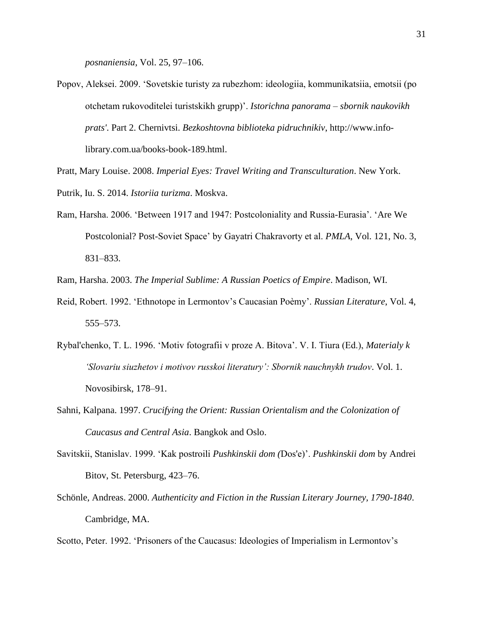*posnaniensia*, Vol. 25, 97–106.

- Popov, Aleksei. 2009. 'Sovetskie turisty za rubezhom: ideologiia, kommunikatsiia, emotsii (po otchetam rukovoditelei turistskikh grupp)'. *Istorichna panorama – sbornik naukovikh prats'*. Part 2. Chernivtsi. *Bezkoshtovna biblioteka pidruchnikiv*, http://www.infolibrary.com.ua/books-book-189.html.
- Pratt, Mary Louise. 2008. *Imperial Eyes: Travel Writing and Transculturation*. New York. Putrik, Iu. S. 2014. *Istoriia turizma*. Moskva.
- Ram, Harsha. 2006. 'Between 1917 and 1947: Postcoloniality and Russia-Eurasia'. 'Are We Postcolonial? Post-Soviet Space' by Gayatri Chakravorty et al. *PMLA*, Vol. 121, No. 3, 831–833.

Ram, Harsha. 2003. *The Imperial Sublime: A Russian Poetics of Empire*. Madison, WI.

- Reid, Robert. 1992. 'Ethnotope in Lermontov's Caucasian Poèmy'. *Russian Literature*, Vol. 4, 555–573.
- Rybal'chenko, T. L. 1996. 'Motiv fotografii v proze A. Bitova'. V. I. Tiura (Ed.), *Materialy k 'Slovariu siuzhetov i motivov russkoi literatury': Sbornik nauchnykh trudov*. Vol. 1. Novosibirsk, 178–91.
- Sahni, Kalpana. 1997. *Crucifying the Orient: Russian Orientalism and the Colonization of Caucasus and Central Asia*. Bangkok and Oslo.
- Savitskii, Stanislav. 1999. 'Kak postroili *Pushkinskii dom (*Dos'e)'. *Pushkinskii dom* by Andrei Bitov, St. Petersburg, 423–76.
- Schönle, Andreas. 2000. *Authenticity and Fiction in the Russian Literary Journey, 1790-1840*. Cambridge, MA.

Scotto, Peter. 1992. 'Prisoners of the Caucasus: Ideologies of Imperialism in Lermontov's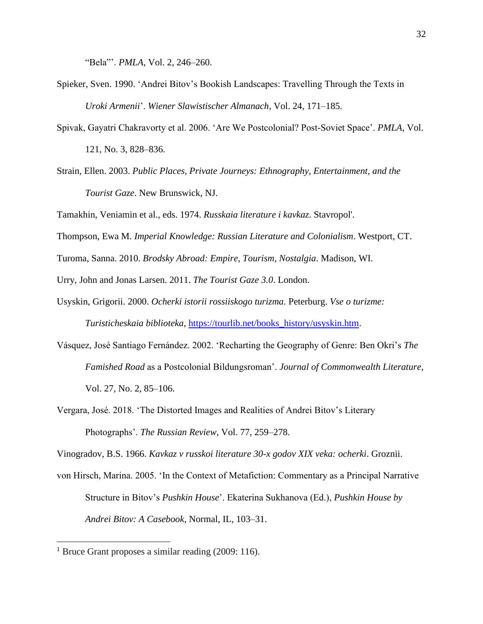"Bela"'. *PMLA*, Vol. 2, 246–260.

- Spieker, Sven. 1990. 'Andrei Bitov's Bookish Landscapes: Travelling Through the Texts in *Uroki Armenii*'. *Wiener Slawistischer Almanach*, Vol. 24, 171–185.
- Spivak, Gayatri Chakravorty et al. 2006. 'Are We Postcolonial? Post-Soviet Space'. *PMLA*, Vol. 121, No. 3, 828–836.
- Strain, Ellen. 2003. *Public Places, Private Journeys: Ethnography, Entertainment, and the Tourist Gaze*. New Brunswick, NJ.

Tamakhin, Veniamin et al., eds. 1974. *Russkaia literature i kavkaz*. Stavropol'.

Thompson, Ewa M. *Imperial Knowledge: Russian Literature and Colonialism*. Westport, CT.

Turoma, Sanna. 2010. *Brodsky Abroad: Empire, Tourism, Nostalgia*. Madison, WI.

Urry, John and Jonas Larsen. 2011. *The Tourist Gaze 3.0*. London.

- Usyskin, Grigorii. 2000. *Ocherki istorii rossiiskogo turizma*. Peterburg. *Vse o turizme: Turisticheskaia biblioteka*, [https://tourlib.net/books\\_history/usyskin.htm.](https://tourlib.net/books_history/usyskin.htm)
- Vásquez, José Santiago Fernández. 2002. 'Recharting the Geography of Genre: Ben Okri's *The Famished Road* as a Postcolonial Bildungsroman'. *Journal of Commonwealth Literature*, Vol. 27, No. 2, 85–106.
- Vergara, José. 2018. 'The Distorted Images and Realities of Andrei Bitov's Literary Photographs'. *The Russian Review*, Vol. 77, 259–278.

Vinogradov, B.S. 1966. *Kavkaz v russkoi literature 30-x godov XIX veka: ocherki*. Groznii.

von Hirsch, Marina. 2005. 'In the Context of Metafiction: Commentary as a Principal Narrative Structure in Bitov's *Pushkin House*'. Ekaterina Sukhanova (Ed.), *Pushkin House by Andrei Bitov: A Casebook*, Normal, IL, 103–31.

<sup>&</sup>lt;sup>1</sup> Bruce Grant proposes a similar reading  $(2009: 116)$ .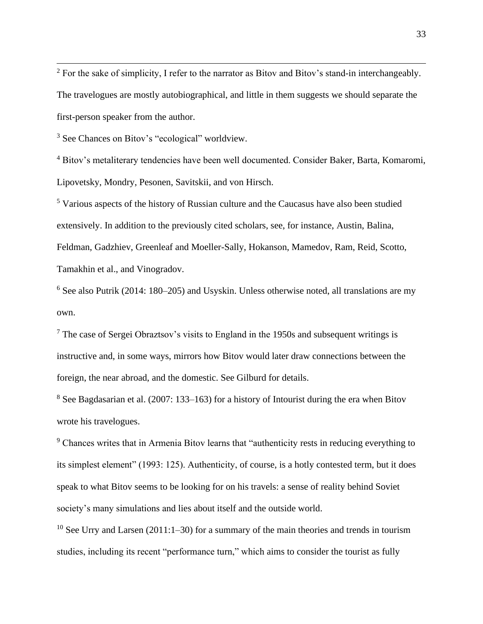$2$  For the sake of simplicity, I refer to the narrator as Bitov and Bitov's stand-in interchangeably. The travelogues are mostly autobiographical, and little in them suggests we should separate the first-person speaker from the author.

<sup>3</sup> See Chances on Bitov's "ecological" worldview.

<sup>4</sup> Bitov's metaliterary tendencies have been well documented. Consider Baker, Barta, Komaromi, Lipovetsky, Mondry, Pesonen, Savitskii, and von Hirsch.

<sup>5</sup> Various aspects of the history of Russian culture and the Caucasus have also been studied extensively. In addition to the previously cited scholars, see, for instance, Austin, Balina, Feldman, Gadzhiev, Greenleaf and Moeller-Sally, Hokanson, Mamedov, Ram, Reid, Scotto, Tamakhin et al., and Vinogradov.

 $6$  See also Putrik (2014: 180–205) and Usyskin. Unless otherwise noted, all translations are my own.

 $<sup>7</sup>$  The case of Sergei Obraztsov's visits to England in the 1950s and subsequent writings is</sup> instructive and, in some ways, mirrors how Bitov would later draw connections between the foreign, the near abroad, and the domestic. See Gilburd for details.

<sup>8</sup> See Bagdasarian et al. (2007: 133–163) for a history of Intourist during the era when Bitov wrote his travelogues.

<sup>9</sup> Chances writes that in Armenia Bitov learns that "authenticity rests in reducing everything to its simplest element" (1993: 125). Authenticity, of course, is a hotly contested term, but it does speak to what Bitov seems to be looking for on his travels: a sense of reality behind Soviet society's many simulations and lies about itself and the outside world.

<sup>10</sup> See Urry and Larsen (2011:1–30) for a summary of the main theories and trends in tourism studies, including its recent "performance turn," which aims to consider the tourist as fully